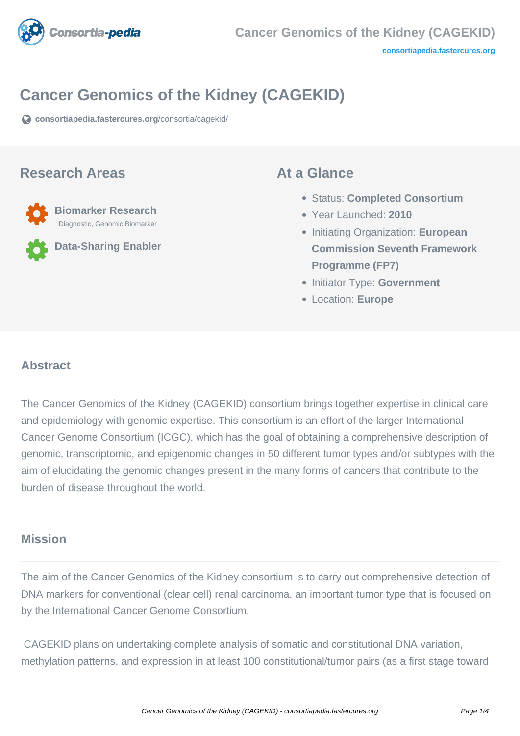

# **Cancer Genomics of the Kidney (CAGEKID)**

**[consortiapedia.fastercures.org](https://consortiapedia.fastercures.org/consortia/cagekid/)**[/consortia/cagekid/](https://consortiapedia.fastercures.org/consortia/cagekid/)

### **Research Areas**



**Data-Sharing Enabler**

### **At a Glance**

- Status: **Completed Consortium**
- Year Launched: **2010**
- **Initiating Organization: European Commission Seventh Framework Programme (FP7)**
- **Initiator Type: Government**
- Location: **Europe**

### $\overline{a}$ **Abstract**

The Cancer Genomics of the Kidney (CAGEKID) consortium brings together expertise in clinical care and epidemiology with genomic expertise. This consortium is an effort of the larger International Cancer Genome Consortium (ICGC), which has the goal of obtaining a comprehensive description of genomic, transcriptomic, and epigenomic changes in 50 different tumor types and/or subtypes with the aim of elucidating the genomic changes present in the many forms of cancers that contribute to the burden of disease throughout the world.

## **Mission**

The aim of the Cancer Genomics of the Kidney consortium is to carry out comprehensive detection of DNA markers for conventional (clear cell) renal carcinoma, an important tumor type that is focused on by the International Cancer Genome Consortium.

 CAGEKID plans on undertaking complete analysis of somatic and constitutional DNA variation, methylation patterns, and expression in at least 100 constitutional/tumor pairs (as a first stage toward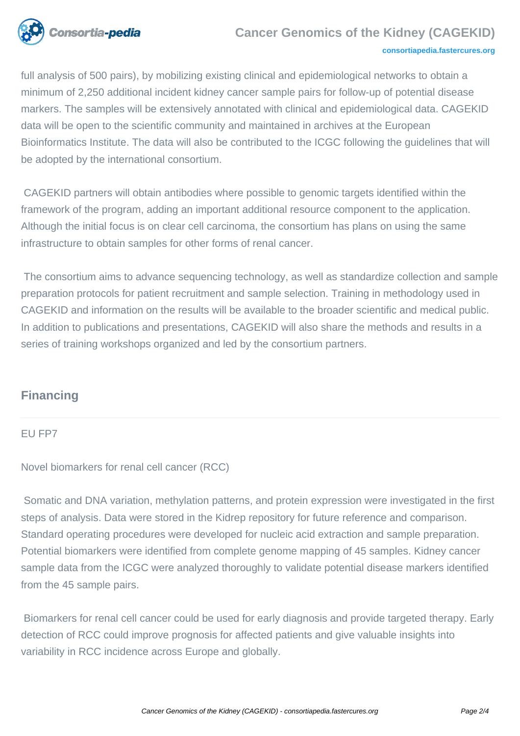

### **Cancer Genomics of the Kidney (CAGEKID)**

#### **[consortiapedia.fastercures.org](http://consortiapedia.fastercures.org/)**

full analysis of 500 pairs), by mobilizing existing clinical and epidemiological networks to obtain a minimum of 2,250 additional incident kidney cancer sample pairs for follow-up of potential disease markers. The samples will be extensively annotated with clinical and epidemiological data. CAGEKID data will be open to the scientific community and maintained in archives at the European Bioinformatics Institute. The data will also be contributed to the ICGC following the guidelines that will be adopted by the international consortium.

 CAGEKID partners will obtain antibodies where possible to genomic targets identified within the framework of the program, adding an important additional resource component to the application. Although the initial focus is on clear cell carcinoma, the consortium has plans on using the same infrastructure to obtain samples for other forms of renal cancer.

 The consortium aims to advance sequencing technology, as well as standardize collection and sample preparation protocols for patient recruitment and sample selection. Training in methodology used in CAGEKID and information on the results will be available to the broader scientific and medical public. In addition to publications and presentations, CAGEKID will also share the methods and results in a series of training workshops organized and led by the consortium partners.

# **Financing**

### EU FP7

Novel biomarkers for renal cell cancer (RCC)

 Somatic and DNA variation, methylation patterns, and protein expression were investigated in the first steps of analysis. Data were stored in the Kidrep repository for future reference and comparison. Standard operating procedures were developed for nucleic acid extraction and sample preparation. Potential biomarkers were identified from complete genome mapping of 45 samples. Kidney cancer sample data from the ICGC were analyzed thoroughly to validate potential disease markers identified from the 45 sample pairs.

 Biomarkers for renal cell cancer could be used for early diagnosis and provide targeted therapy. Early detection of RCC could improve prognosis for affected patients and give valuable insights into variability in RCC incidence across Europe and globally.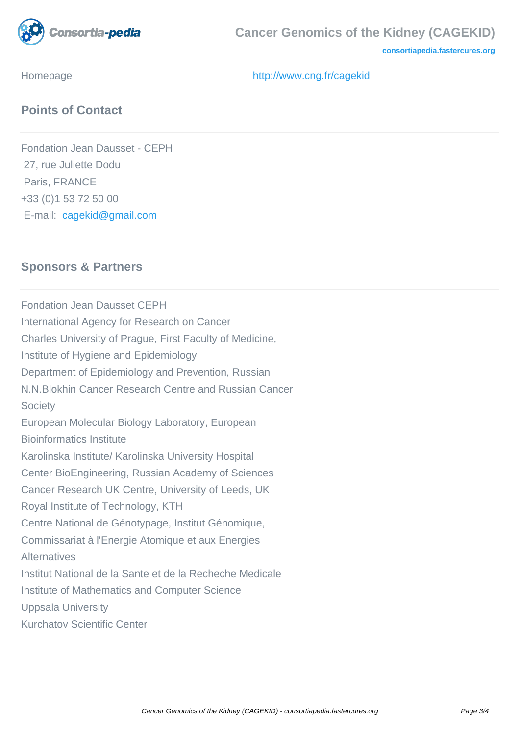

**[consortiapedia.fastercures.org](http://consortiapedia.fastercures.org/)**

Homepage <http://www.cng.fr/cagekid>

## **Points of Contact**

Fondation Jean Dausset - CEPH 27, rue Juliette Dodu Paris, FRANCE +33 (0)1 53 72 50 00 E-mail: [cagekid@gmail.com](mailto:cagekid@gmail.com)

## **Sponsors & Partners**

Fondation Jean Dausset CEPH International Agency for Research on Cancer Charles University of Prague, First Faculty of Medicine, Institute of Hygiene and Epidemiology Department of Epidemiology and Prevention, Russian N.N.Blokhin Cancer Research Centre and Russian Cancer **Society** European Molecular Biology Laboratory, European Bioinformatics Institute Karolinska Institute/ Karolinska University Hospital Center BioEngineering, Russian Academy of Sciences Cancer Research UK Centre, University of Leeds, UK Royal Institute of Technology, KTH Centre National de Génotypage, Institut Génomique, Commissariat à l'Energie Atomique et aux Energies **Alternatives** Institut National de la Sante et de la Recheche Medicale Institute of Mathematics and Computer Science Uppsala University Kurchatov Scientific Center